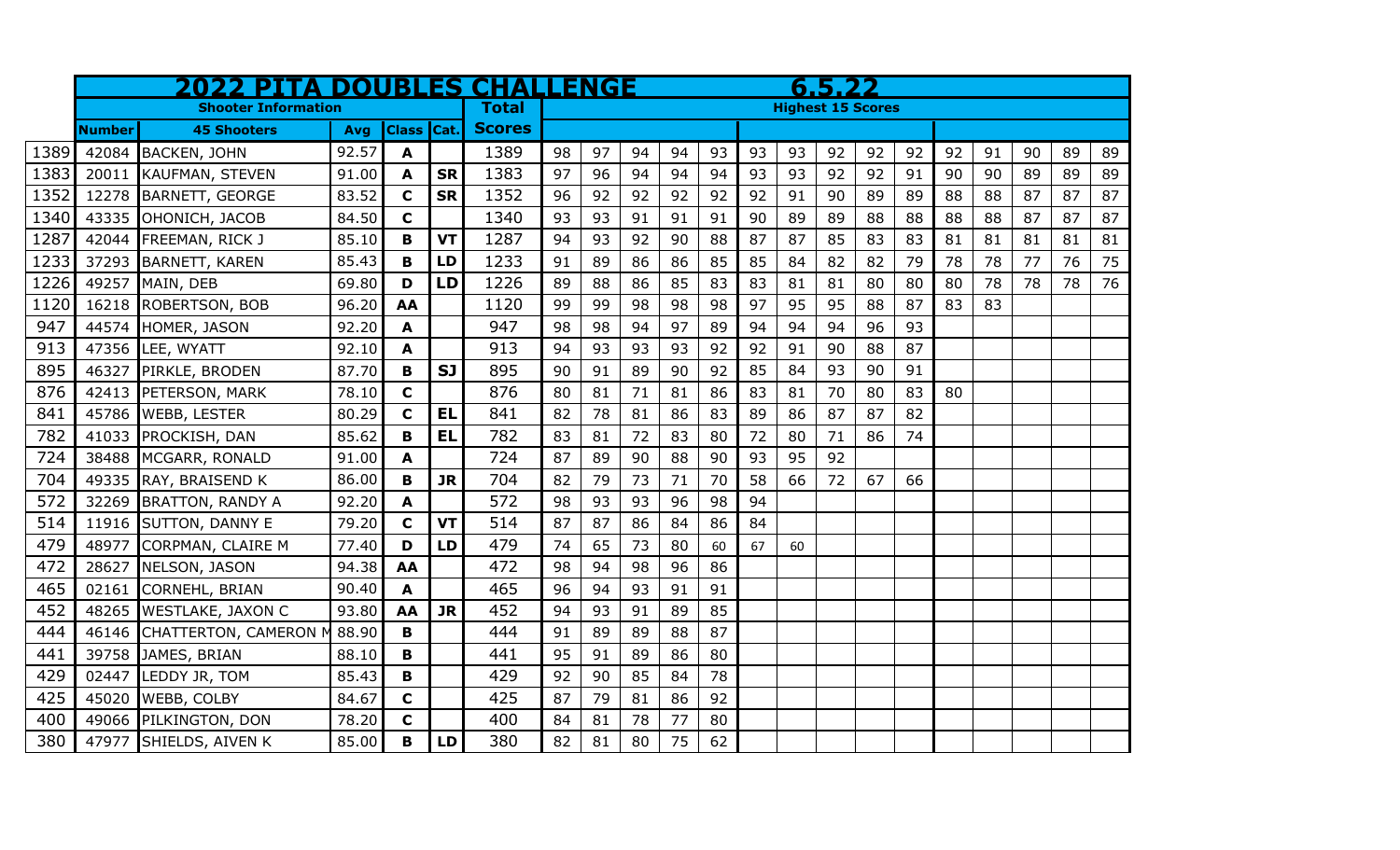|      | <b>2022 PITA DOUBLES CHALLENGE</b> |                          |       |                   |           |               | 6.5.22                   |    |    |    |    |    |    |    |    |    |    |    |    |    |    |
|------|------------------------------------|--------------------------|-------|-------------------|-----------|---------------|--------------------------|----|----|----|----|----|----|----|----|----|----|----|----|----|----|
|      | <b>Shooter Information</b>         |                          |       |                   |           | <b>Total</b>  | <b>Highest 15 Scores</b> |    |    |    |    |    |    |    |    |    |    |    |    |    |    |
|      | <b>Number</b>                      | <b>45 Shooters</b>       | Avg   | <b>Class Cat.</b> |           | <b>Scores</b> |                          |    |    |    |    |    |    |    |    |    |    |    |    |    |    |
| 1389 | 42084                              | <b>BACKEN, JOHN</b>      | 92.57 | A                 |           | 1389          | 98                       | 97 | 94 | 94 | 93 | 93 | 93 | 92 | 92 | 92 | 92 | 91 | 90 | 89 | 89 |
| 1383 | 20011                              | <b>KAUFMAN, STEVEN</b>   | 91.00 | A                 | <b>SR</b> | 1383          | 97                       | 96 | 94 | 94 | 94 | 93 | 93 | 92 | 92 | 91 | 90 | 90 | 89 | 89 | 89 |
| 1352 | 12278                              | BARNETT, GEORGE          | 83.52 | $\mathbf c$       | <b>SR</b> | 1352          | 96                       | 92 | 92 | 92 | 92 | 92 | 91 | 90 | 89 | 89 | 88 | 88 | 87 | 87 | 87 |
| 1340 | 43335                              | OHONICH, JACOB           | 84.50 | $\mathbf c$       |           | 1340          | 93                       | 93 | 91 | 91 | 91 | 90 | 89 | 89 | 88 | 88 | 88 | 88 | 87 | 87 | 87 |
| 1287 | 42044                              | FREEMAN, RICK J          | 85.10 | B                 | <b>VT</b> | 1287          | 94                       | 93 | 92 | 90 | 88 | 87 | 87 | 85 | 83 | 83 | 81 | 81 | 81 | 81 | 81 |
| 1233 | 37293                              | <b>BARNETT, KAREN</b>    | 85.43 | B                 | LD        | 1233          | 91                       | 89 | 86 | 86 | 85 | 85 | 84 | 82 | 82 | 79 | 78 | 78 | 77 | 76 | 75 |
| 1226 | 49257                              | MAIN, DEB                | 69.80 | D                 | LD        | 1226          | 89                       | 88 | 86 | 85 | 83 | 83 | 81 | 81 | 80 | 80 | 80 | 78 | 78 | 78 | 76 |
| 1120 | 16218                              | ROBERTSON, BOB           | 96.20 | AA                |           | 1120          | 99                       | 99 | 98 | 98 | 98 | 97 | 95 | 95 | 88 | 87 | 83 | 83 |    |    |    |
| 947  | 44574                              | HOMER, JASON             | 92.20 | A                 |           | 947           | 98                       | 98 | 94 | 97 | 89 | 94 | 94 | 94 | 96 | 93 |    |    |    |    |    |
| 913  | 47356                              | LEE, WYATT               | 92.10 | A                 |           | 913           | 94                       | 93 | 93 | 93 | 92 | 92 | 91 | 90 | 88 | 87 |    |    |    |    |    |
| 895  | 46327                              | PIRKLE, BRODEN           | 87.70 | B                 | <b>SJ</b> | 895           | 90                       | 91 | 89 | 90 | 92 | 85 | 84 | 93 | 90 | 91 |    |    |    |    |    |
| 876  | 42413                              | PETERSON, MARK           | 78.10 | $\mathbf c$       |           | 876           | 80                       | 81 | 71 | 81 | 86 | 83 | 81 | 70 | 80 | 83 | 80 |    |    |    |    |
| 841  | 45786                              | <b>WEBB, LESTER</b>      | 80.29 | $\mathbf c$       | <b>EL</b> | 841           | 82                       | 78 | 81 | 86 | 83 | 89 | 86 | 87 | 87 | 82 |    |    |    |    |    |
| 782  | 41033                              | PROCKISH, DAN            | 85.62 | $\mathbf B$       | <b>EL</b> | 782           | 83                       | 81 | 72 | 83 | 80 | 72 | 80 | 71 | 86 | 74 |    |    |    |    |    |
| 724  | 38488                              | MCGARR, RONALD           | 91.00 | A                 |           | 724           | 87                       | 89 | 90 | 88 | 90 | 93 | 95 | 92 |    |    |    |    |    |    |    |
| 704  | 49335                              | RAY, BRAISEND K          | 86.00 | B                 | <b>JR</b> | 704           | 82                       | 79 | 73 | 71 | 70 | 58 | 66 | 72 | 67 | 66 |    |    |    |    |    |
| 572  | 32269                              | <b>BRATTON, RANDY A</b>  | 92.20 | A                 |           | 572           | 98                       | 93 | 93 | 96 | 98 | 94 |    |    |    |    |    |    |    |    |    |
| 514  | 11916                              | SUTTON, DANNY E          | 79.20 | $\mathbf c$       | <b>VT</b> | 514           | 87                       | 87 | 86 | 84 | 86 | 84 |    |    |    |    |    |    |    |    |    |
| 479  | 48977                              | CORPMAN, CLAIRE M        | 77.40 | D                 | LD        | 479           | 74                       | 65 | 73 | 80 | 60 | 67 | 60 |    |    |    |    |    |    |    |    |
| 472  | 28627                              | NELSON, JASON            | 94.38 | AA                |           | 472           | 98                       | 94 | 98 | 96 | 86 |    |    |    |    |    |    |    |    |    |    |
| 465  | 02161                              | <b>CORNEHL, BRIAN</b>    | 90.40 | A                 |           | 465           | 96                       | 94 | 93 | 91 | 91 |    |    |    |    |    |    |    |    |    |    |
| 452  | 48265                              | <b>WESTLAKE, JAXON C</b> | 93.80 | AA                | <b>JR</b> | 452           | 94                       | 93 | 91 | 89 | 85 |    |    |    |    |    |    |    |    |    |    |
| 444  | 46146                              | CHATTERTON, CAMERON M    | 88.90 | $\mathbf{B}$      |           | 444           | 91                       | 89 | 89 | 88 | 87 |    |    |    |    |    |    |    |    |    |    |
| 441  | 39758                              | JAMES, BRIAN             | 88.10 | $\mathbf B$       |           | 441           | 95                       | 91 | 89 | 86 | 80 |    |    |    |    |    |    |    |    |    |    |
| 429  | 02447                              | LEDDY JR, TOM            | 85.43 | B                 |           | 429           | 92                       | 90 | 85 | 84 | 78 |    |    |    |    |    |    |    |    |    |    |
| 425  | 45020                              | WEBB, COLBY              | 84.67 | $\mathbf c$       |           | 425           | 87                       | 79 | 81 | 86 | 92 |    |    |    |    |    |    |    |    |    |    |
| 400  | 49066                              | <b>PILKINGTON, DON</b>   | 78.20 | $\mathbf c$       |           | 400           | 84                       | 81 | 78 | 77 | 80 |    |    |    |    |    |    |    |    |    |    |
| 380  |                                    | 47977 SHIELDS, AIVEN K   | 85.00 | $\mathbf B$       | LD        | 380           | 82                       | 81 | 80 | 75 | 62 |    |    |    |    |    |    |    |    |    |    |